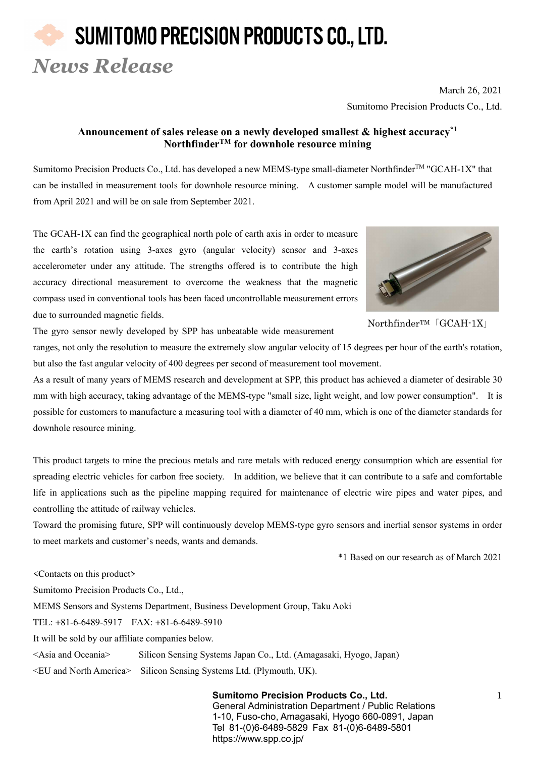## SUMITOMO PRECISION PRODUCTS CO., LTD. *News Release*

March 26, 2021 Sumitomo Precision Products Co., Ltd.

### **Announcement of sales release on a newly developed smallest & highest accuracy\*1 NorthfinderTM for downhole resource mining**

Sumitomo Precision Products Co., Ltd. has developed a new MEMS-type small-diameter Northfinder<sup>TM</sup> "GCAH-1X" that can be installed in measurement tools for downhole resource mining. A customer sample model will be manufactured from April 2021 and will be on sale from September 2021.

The GCAH-1X can find the geographical north pole of earth axis in order to measure the earth's rotation using 3-axes gyro (angular velocity) sensor and 3-axes accelerometer under any attitude. The strengths offered is to contribute the high accuracy directional measurement to overcome the weakness that the magnetic compass used in conventional tools has been faced uncontrollable measurement errors due to surrounded magnetic fields.



NorthfinderTM「GCAH-1X」

The gyro sensor newly developed by SPP has unbeatable wide measurement

ranges, not only the resolution to measure the extremely slow angular velocity of 15 degrees per hour of the earth's rotation, but also the fast angular velocity of 400 degrees per second of measurement tool movement.

As a result of many years of MEMS research and development at SPP, this product has achieved a diameter of desirable 30 mm with high accuracy, taking advantage of the MEMS-type "small size, light weight, and low power consumption". It is possible for customers to manufacture a measuring tool with a diameter of 40 mm, which is one of the diameter standards for downhole resource mining.

This product targets to mine the precious metals and rare metals with reduced energy consumption which are essential for spreading electric vehicles for carbon free society. In addition, we believe that it can contribute to a safe and comfortable life in applications such as the pipeline mapping required for maintenance of electric wire pipes and water pipes, and controlling the attitude of railway vehicles.

Toward the promising future, SPP will continuously develop MEMS-type gyro sensors and inertial sensor systems in order to meet markets and customer's needs, wants and demands.

\*1 Based on our research as of March 2021

<Contacts on this product> Sumitomo Precision Products Co., Ltd., MEMS Sensors and Systems Department, Business Development Group, Taku Aoki TEL: +81-6-6489-5917 FAX: +81-6-6489-5910 It will be sold by our affiliate companies below. <Asia and Oceania> Silicon Sensing Systems Japan Co., Ltd. (Amagasaki, Hyogo, Japan)

<EU and North America> Silicon Sensing Systems Ltd. (Plymouth, UK).

**Sumitomo Precision Products Co., Ltd.** 1 General Administration Department / Public Relations 1-10, Fuso-cho, Amagasaki, Hyogo 660-0891, Japan Tel 81-(0)6-6489-5829 Fax 81-(0)6-6489-5801 https://www.spp.co.jp/